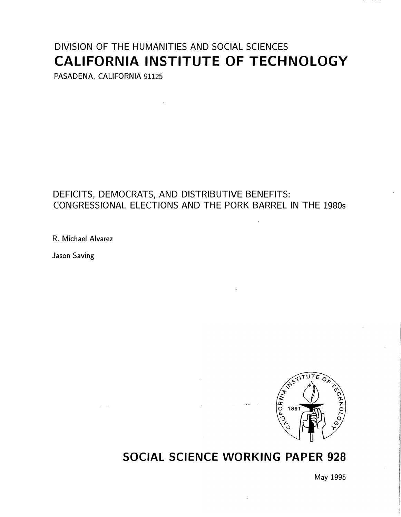# DIVISION OF THE HUMANITIES AND SOCIAL SCIENCES CALIFORNIA INSTITUTE OF TECHNOLOGY

PASADENA, CALIFORNIA 91125

## DEFICITS, DEMOCRATS, AND DISTRIBUTIVE BENEFITS: CONGRESSIONAL ELECTIONS AND THE PORK BARREL IN THE 1980s

R. Michael Alvarez

Jason Saving



# SOCIAL SCIENCE WORKING PAPER 928

May 1995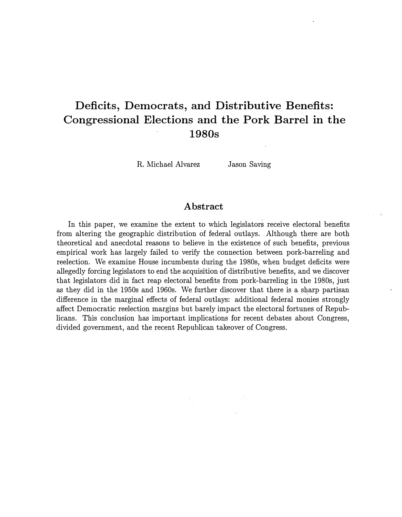# Deficits, Democrats, and Distributive Benefits: Congressional Elections and the Pork Barrel in the 1980s

R. Michael Alvarez Jason Saving

#### Abstract

In this paper, we examine the extent to which legislators receive electoral benefits from altering the geographic distribution of federal outlays. Although there are both theoretical and anecdotal reasons to believe in the existence of such benefits, previous empirical work has largely failed to verify the connection between pork-barreling and reelection. We examine House incumbents during the 1980s, when budget deficits were allegedly forcing legislators to end the acquisition of distributive benefits, and we discover that legislators did in fact reap electoral benefits from pork-barreling in the 1980s, just as they did in the 1950s and 1960s. We further discover that there is a sharp partisan difference in the marginal effects of federal outlays: additional federal monies strongly affect Democratic reelection margins but barely impact the electoral fortunes of Republicans. This conclusion has important implications for recent debates about Congress, divided government, and the recent Republican takeover of Congress.

 $\mathcal{L}_{\text{int}}$  ,  $\mathcal{L}_{\text{int}}$  ,  $\mathcal{L}_{\text{int}}$  ,  $\mathcal{L}_{\text{int}}$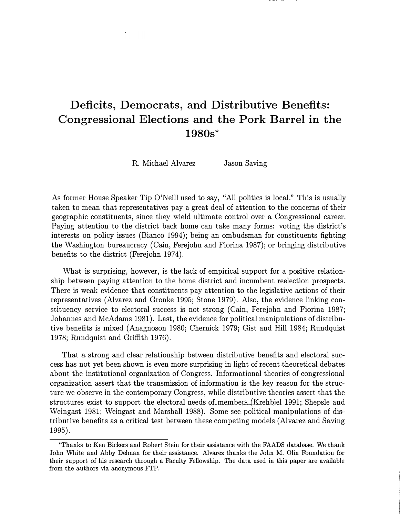# Deficits, Democrats, and Distributive Benefits: Congressional Elections and the Pork Barrel in the 1980s\*

R. Michael Alvarez Jason Saving

As former House Speaker Tip O'Neill used to say, "All politics is local." This is usually taken to mean that representatives pay a great deal of attention to the concerns of their geographic constituents, since they wield ultimate control over a Congressional career. Paying attention to the district back home can take many forms: voting the district's interests on policy issues (Bianco 1994); being an ombudsman for constituents fighting the Washington bureaucracy (Cain, Ferejohn and Fiorina 1987); or bringing distributive benefits to the district (Ferejohn 1974).

What is surprising, however, is the lack of empirical support for a positive relationship between paying attention to the home district and incumbent reelection prospects. There is weak evidence that constituents pay attention to the legislative actions of their representatives (Alvarez and Gronke 1995; Stone 1979). Also, the evidence linking constituency service to electoral success is not strong (Cain, Ferejohn and Fiorina 1987; Johannes and McAdams 1981). Last, the evidence for political manipulations of distributive benefits is mixed (Anagnoson 1980; Chernick 1979; Gist and Hill 1984; Rundquist 1978; Rundquist and Griffith 1976).

That a strong and clear relationship between distributive benefits and electoral success has not yet been shown is even more surprising in light of recent .theoretical debates about the institutional organization of Congress. Informational theories of congressional organization assert that the transmission of information is the key reason for the structure we observe in the contemporary Congress, while distributive theories assert that the structures exist to support the electoral needs. of-members .{Krehbiel J991; Shepsle and Weingast 1981; Weingast and Marshall 1988). Some see political manipulations of distributive benefits as a critical test between these competing models (Alvarez and Saving 1995).

<sup>\*</sup>Thanks to Ken Bickers and Robert Stein for their assistance with the FAADS database. We thank John White and Abby Delman for their assistance. Alvarez thanks the John M. Olin Foundation for their support of his research through a Faculty Fellowship. The data used in this paper are available from the authors via anonymous FTP.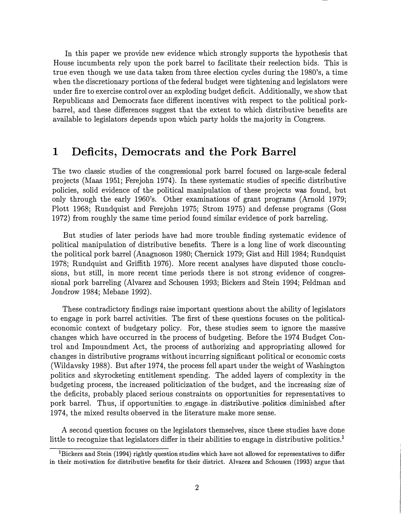In this paper we provide new evidence which strongly supports the hypothesis that House incumbents rely upon the pork barrel to facilitate their reelection bids. This is true even though we use data taken from three election cycles during the 1980's, a time when the discretionary portions of the federal budget were tightening and legislators were under fire to exercise control over an exploding budget deficit. Additionally, we show that Republicans and Democrats face different incentives with respect to the political porkbarrel, and these differences suggest that the extent to which distributive benefits are available to legislators depends upon which party holds the majority in Congress.

### 1 Deficits, Democrats and the Pork Barrel

The two classic studies of the congressional pork barrel focused on large-scale federal projects (Maas 1951; Ferejohn 1974). In these systematic studies of specific distributive policies, solid evidence of the political manipulation of these projects was found, but only through the early 1960's. Other examinations of grant programs (Arnold 1979; Plott 1968; Rundquist and Ferejohn 1975; Strom 1975) and defense programs (Goss 1972) from roughly the same time period found similar evidence of pork barreling.

But studies of later periods have had more trouble finding systematic evidence of political manipulation of distributive benefits. There is a long line of work discounting the political pork barrel (Anagnoson 1980; Chernick 1979; Gist and Hill 1984; Rundquist 1978; Rundquist and Griffith 1976). More recent analyses have disputed those conclusions, but still, in more recent time periods there is not strong evidence of congressional pork barreling (Alvarez and Schousen 1993; Bickers and Stein 1994; Feldman and Jondrow 1984; Mebane 1992).

These contradictory findings raise important questions about the ability of legislators to engage in pork barrel activities. The first of these questions focuses on the politicaleconomic context of budgetary policy. For, these studies seem to ignore the massive changes which have occurred in the process of budgeting. Before the 1974 Budget Control and Impoundment Act, the process of authorizing and appropriating allowed for changes in distributive programs without incurring significant political or economic costs (Wildavsky 1988). But after 1974, the process fell apart under the weight of Washington politics and skyrocketing entitlement spending. The added layers of complexity in the budgeting process, the increased politicization of the budget, and the increasing size of the deficits, probably placed serious constraints on opportunities for representatives to pork barrel. Thus, if opportunities to engage in distributive politics diminished after 1974, the mixed results observed in the literature make more sense.

A second question focuses on the legislators themselves, since these studies have done little to recognize that legislators differ in their abilities to engage in distributive politics.<sup>1</sup>

<sup>1</sup>Bickers and Stein (1994) rightly question studies which have not allowed for representatives to differ in their motivation for distributive benefits for their district. Alvarez and Schousen (1993) argue that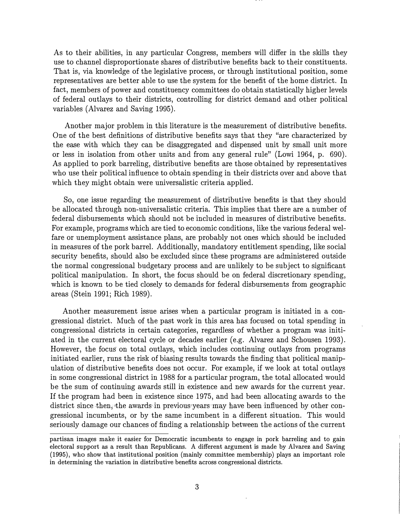As to their abilities, in any particular Congress, members will differ in the skills they use to channel disproportionate shares of distributive benefits back to their constituents. That is, via knowledge of the legislative process, or through institutional position, some representatives are better able to use the system for the benefit of the home district. In fact, members of power and constituency committees do obtain statistically higher levels of federal outlays to their districts, controlling for district demand and other political variables (Alvarez and Saving 1995).

Another major problem in this literature is the measurement of distributive benefits. One of the best definitions of distributive benefits says that they "are characterized by the ease with which they can be disaggregated and dispensed unit by small unit more or less in isolation from other units and from any general rule" (Lowi 1964, p. 690). As applied to pork barreling, distributive benefits are those obtained by representatives who use their political influence to obtain spending in their districts over and above that which they might obtain were universalistic criteria applied.

So, one issue regarding the measurement of distributive benefits is that they should be allocated through non-universalistic criteria. This implies that there are a number of federal disbursements which should not be included in measures of distributive benefits. For example, programs which are tied to economic conditions, like the various federal welfare or unemployment assistance plans, are probably not ones which should be included in measures of the pork barrel. Additionally, mandatory entitlement spending, like social security benefits, should also be excluded since these programs are administered outside the normal congressional budgetary process and are unlikely to be subject to significant political manipulation. In short, the focus should be on federal discretionary spending, which is known to be tied closely to demands for federal disbursements from geographic . areas (Stein 1991; Rich 1989).

Another measurement issue arises when a particular program is initiated in a congressional district. Much of the past work in this area has focused on total spending in congressional districts in certain categories, regardless of whether a program was initiated in the current electoral cycle or decades earlier (e.g. Alvarez and Schousen 1993). However, the focus on total outlays, which includes continuing outlays from programs initiated earlier, runs the risk of biasing results towards the finding that political manipulation of distributive benefits does not occur. For example, if we look at total outlays in some congressional district in 1988 for a particular program, the total allocated would be the sum of continuing awards still in existence and new awards for the current year. If the program had been in existence since 1975, and had been allocating awards to the district since then, the awards in previous years may have been influenced by other congressional incumbents, or by the same incumbent in a different situation. This would seriously damage our chances of finding a relationship between the actions of the current

partisan images make it easier for Democratic incumbents to engage in pork barreling and to gain electoral support as a result than Republicans. A different argument is made by Alvarez and Saving (1995), who show that institutional position (mainly committee membership) plays an important role in determining the variation in distributive benefits across congressional districts.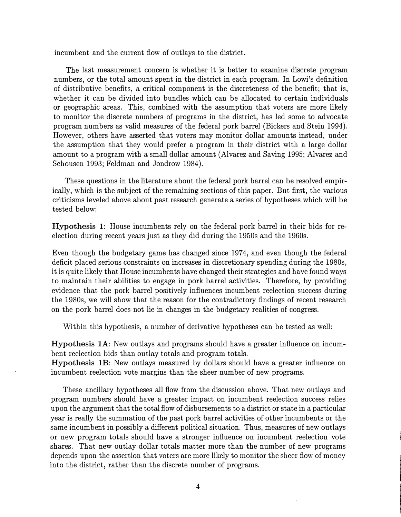incumbent and the current flow of outlays to the district.

The last measurement concern is whether it is better to examine discrete program numbers, or the total amount spent in the district in each program. In Lowi's definition of distributive benefits, a critical component is the discreteness of the benefit; that is, whether it can be divided into bundles which can be allocated to certain individuals or geographic areas. This, combined with the assumption that voters are more likely to monitor the discrete numbers of programs in the district, has led some to advocate program numbers as valid measures of the federal pork barrel (Bickers and Stein 1994). However, others have asserted that voters may monitor dollar amounts instead, under the assumption that they would prefer a program in their district with a large dollar amount to a program with a small dollar amount (Alvarez and Saving 1995; Alvarez and Schousen 1993; Feldman and Jondrow 1984).

These questions in the literature about the federal pork barrel can be resolved empirically, which is the subject of the remaining sections of this paper. But first, the various criticisms leveled above about past research generate a series of hypotheses which will be tested below:

Hypothesis 1: House incumbents rely on the federal pork barrel in their bids for reelection during recent years just as they did during the 1950s and the 1960s.

Even though the budgetary game has changed since 1974, and even though the federal deficit placed serious constraints on increases in discretionary spending during the 1980s, it is quite likely that House incumbents have changed their strategies and have found ways to maintain their abilities to engage in pork barrel activities. Therefore, by providing evidence that the pork barrel positively influences incumbent reelection success during the 1980s, we will show that the reason for the contradictory findings of recent research on the pork barrel does not lie in changes in the budgetary realities of congress.

Within this hypothesis, a number of derivative hypotheses can be tested as well:

Hypothesis lA: New outlays and programs should have a greater influence on incumbent reelection bids than outlay totals and program totals.

Hypothesis lB: New outlays measured by dollars should have a greater influence on incumbent reelection vote margins than the sheer number of new programs.

These ancillary hypotheses all flow from the discussion above. That new outlays and program numbers should have a greater impact on incumbent reelection success relies upon the argument that the total flow of disbursements to a district or state in a particular year is really the summation of the past pork barrel activities of other incumbents or the same incumbent in possibly a different political situation. Thus, measures of new outlays or new program totals should have a stronger influence on incumbent reelection vote shares. That new outlay dollar totals matter more than the number of new programs depends upon the assertion that voters are more likely to monitor the sheer flow of money into the district, rather than the discrete number of programs.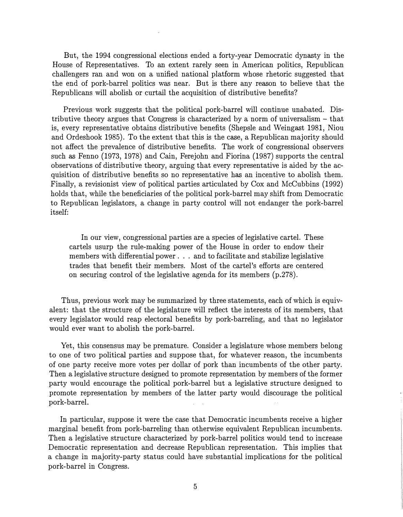But, the 1994 congressional elections ended a forty-year Democratic dynasty in the House of Representatives. To an extent rarely seen in American politics, Republican challengers ran and won on a unified national platform whose rhetoric suggested that the end of pork-barrel politics was near. But is there any reason to believe that the Republicans will abolish or curtail the acquisition of distributive benefits?

Previous work suggests that the political pork-barrel will continue unabated. Distributive theory argues that Congress is characterized by a norm of universalism - that is, every representative obtains distributive benefits (Shepsle and Weingast 1981, Niou and Ordeshook 1985). To the extent that this is the case, a Republican majority should not affect the prevalence of distributive benefits. The work of congressional observers such as Fenno (1973, 1978) and Cain, Ferejohn and Fiorina (1987) supports the central observations of distributive theory, arguing that every representative is aided by the acquisition of distributive benefits so no representative has an incentive to abolish them. Finally, a revisionist view of political parties articulated by Cox and McCubbins (1992) holds that, while the beneficiaries of the political pork-barrel may shift from Democratic to Republican legislators, a change in party control will not endanger the pork-barrel itself:

In our view, congressional parties are a species of legislative cartel. These cartels usurp the rule-making power of the House in order to endow their members with differential power . . . and to facilitate and stabilize legislative trades that benefit their members. Most of the cartel's efforts are centered on securing control of the legislative agenda for its members (p.278).

Thus, previous work may be summarized by three statements, each of which is equivalent: that the structure of the legislature will reflect the interests of its members, that every legislator would reap electoral benefits by pork-barreling, and that no legislator would ever want to abolish the pork-barrel.

Yet, this consensus may be premature. Consider a legislature whose members belong to one of two political parties and suppose that, for whatever reason, the incumbents of one party receive more votes per dollar of pork than incumbents of the other party. Then a legislative structure designed to promote representation by members of the former party would encourage the political pork-barrel but a legislative structure designed to promote representation by members of the latter party would discourage the political pork-barrel.

In particular, suppose it were the case that Democratic incumbents receive a higher marginal benefit from pork-barreling than otherwise equivalent Republican incumbents. Then a legislative structure characterized by pork-barrel politics would tend to increase Democratic representation and decrease Republican representation. This implies that a change in majority-party status could have substantial implications for the political pork-barrel in Congress.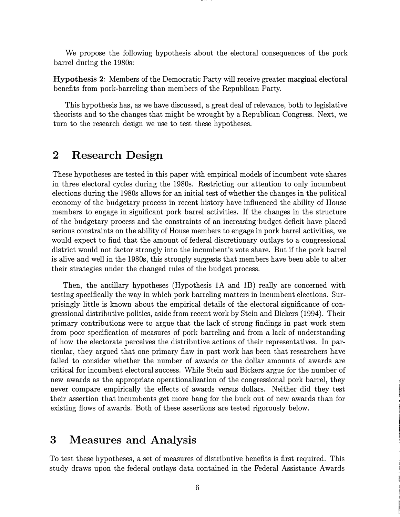We propose the following hypothesis about the electoral consequences of the pork barrel during the 1980s:

Hypothesis 2: Members of the Democratic Party will receive greater marginal electoral benefits from pork-barreling than members of the Republican Party.

This hypothesis has, as we have discussed, a great deal of relevance, both to legislative theorists and to the changes that might be wrought by a Republican Congress. Next, we turn to the research design we use to test these hypotheses.

## 2 Research Design

These hypotheses are tested in this paper with empirical models of incumbent vote shares in three electoral cycles during the 1980s. Restricting our attention to only incumbent elections during the 1980s allows for an initial test of whether the changes in the political economy of the budgetary process in recent history have influenced the ability of House members to engage in significant pork barrel activities. If the changes in the structure of the budgetary process and the constraints of an increasing ·budget deficit have placed serious constraints on the ability of House members to engage in pork barrel activities, we would expect to find that the amount of federal discretionary outlays to a congressional district would not factor strongly into the incumbent's vote share. But if the pork barrel is alive and well in the 1980s, this strongly suggests that members have been able to alter their strategies under the changed rules of the budget process.

Then, the ancillary hypotheses (Hypothesis 1A and 1B) really are concerned with testing specifically the way in which pork barreling matters in incumbent elections. Surprisingly little is known about the empirical details of the electoral significance of congressional distributive politics, aside from recent work by Stein and Bickers (1994). Their primary contributions were to argue that the lack of strong findings in past work stem from poor specification of measures of pork barreling and from a lack of understanding of how the electorate perceives the distributive actions of their representatives. In particular, they argued that one primary flaw in past work has been that researchers have failed to consider whether the number of awards or the dollar amounts of awards are critical for incumbent electoral success. While Stein and Bickers argue for the number of new awards as the appropriate operationalization of the congressional pork barrel, they never compare empirically the effects of awards versus dollars. Neither did they test their assertion that incumbents get more bang for the buck out of new awards than for existing flows of awards. Both of these assertions are tested rigorously below.

# 3 Measures and Analysis

To test these hypotheses, a set of measures of distributive benefits is first required. This study draws upon the federal outlays data contained in the Federal Assistance Awards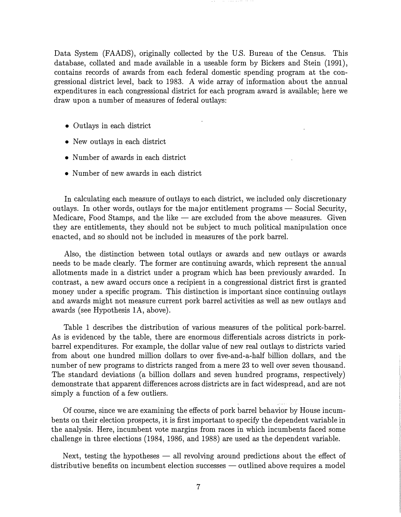Data System (FAADS), originally collected by the U.S. Bureau of the Census. This database, collated and made available in a useable form by Bickers and Stein (1991), contains records of awards from each federal domestic spending program at the congressional district level, back to 1983. A wide array of information about the annual expenditures in each congressional district for each program award is available; here we draw upon a number of measures of federal outlays:

- Outlays in each district
- New outlays in each district
- Number of awards in each district
- Number of new awards in each district

In calculating each measure of outlays to each district, we included only discretionary outlays. In other words, outlays for the major entitlement programs — Social Security, Medicare, Food Stamps, and the like  $-$  are excluded from the above measures. Given they are entitlements, they should not be subject to much political manipulation once enacted, and so should not be included in measures of the pork barrel.

Also, the distinction between total outlays or awards and new outlays or awards needs to be made clearly. The former are continuing awards, which represent the annual allotments made in a district under a program which has been previously awarded. In contrast, a new award occurs once a recipient in a congressional district first is granted money under a specific program. This distinction is important since continuing outlays and awards might not measure current pork barrel activities as well as new outlays and awards (see Hypothesis lA, above).

Table 1 describes the distribution of various measures of the political pork-barrel. As is evidenced by the table, there are enormous differentials across districts in porkbarrel expenditures. For example, the dollar value of new real outlays to districts varied from about one hundred million dollars to over five-and-a-half billion dollars, and the number of new programs to districts ranged from a mere 23 to well over seven thousand. The standard deviations (a billion dollars and seven hundred programs, respectively) demonstrate that apparent differences across districts are in fact widespread, and are not simply a function of a few outliers.

Of course, since we are examining the effects of pork barrel behavior by House incumbents on their election prospects, it is first important to specify the dependent variable in the analysis. Here, incumbent vote margins from races in which incumbents faced some challenge in three elections (1984, 1986, and 1988) are used as the dependent variable.

Next, testing the hypotheses  $-$  all revolving around predictions about the effect of distributive benefits on incumbent election successes — outlined above requires a model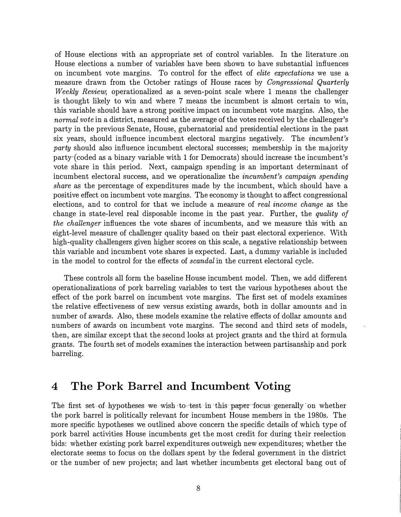of House elections with an appropriate set of control variables. In the literature on House elections a number of variables have been shown to have substantial influences on incumbent vote margins. To control for the effect of *elite expectations* we use a measure drawn from the October ratings of House races by Congressional Quarterly Weekly Review; operationalized as a seven-point scale where 1 means the challenger is thought likely to win and where 7 means the incumbent is almost certain to win, this variable should have a strong positive impact on incumbent vote margins. Also, the normal vote in a district, measured as the average of the votes received by the challenger's party in the previous Senate, House, gubernatorial and presidential elections in the past six years, should influence incumbent electoral margins negatively. The incumbent's party should also influence incumbent electoral successes; membership in the majority party (coded as a binary variable with 1 for Democrats) should increase the incumbent's vote share in this period. Next, campaign spending is an important determinant of incumbent electoral success, and we operationalize the incumbent's campaign spending share as the percentage of expenditures made by the incumbent, which should have a positive effect on incumbent vote margins. The economy is thought to affect congressional elections, and to control for that we include a measure of real income change as the change in state-level real disposable income in the past year. Further, the quality of the challenger influences the vote shares of incumbents, and we measure this with an eight-level measure of challenger quality based on their past electoral experience. With high-quality challengers given higher scores on this scale, a negative relationship between this variable and incumbent vote shares is expected. Last, a dummy variable is included in the model to control for the effects of scandal in the current electoral cycle.

These controls all form the baseline House incumbent model. Then, we add different operationalizations of pork barreling variables to test the various hypotheses about the effect of the pork barrel on incumbent vote margins. The first set of models examines the relative effectiveness of new versus existing awards, both in dollar amounts and in number of awards. Also, these models examine the relative effects of dollar amounts and numbers of awards on incumbent vote margins. The second and third sets of models, then, are similar except that the second looks at project grants and the third at formula grants. The fourth set of models examines the interaction between partisanship and pork barreling.

# 4 The Pork Barrel and Incumbent Voting

The first set of hypotheses we wish to test in this paper focus generally on whether the pork barrel is politically relevant for incumbent House members in the 1980s. The more specific hypotheses we outlined above concern the specific details of which type of pork barrel activities House incumbents get the most credit for during their reelection bids: whether existing pork barrel expenditures outweigh new expenditures; whether the electorate seems to focus on the dollars spent by the federal government in the district or the number of new projects; and last whether incumbents get electoral bang out of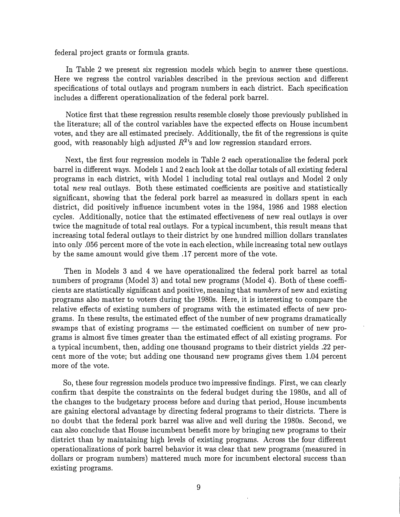federal project grants or formula grants.

In Table 2 we present six regression models which begin to answer these questions. Here we regress the control variables described in the previous section and different specifications of total outlays and program numbers in each district. Each specification includes a different operationalization of the federal pork barrel. .

Notice first that these regression results resemble closely those previously published in the literature; all of the control variables have the expected effects on House incumbent votes, and they are all estimated precisely. Additionally, the fit of the regressions is quite good, with reasonably high adjusted  $R^2$ 's and low regression standard errors.

Next, the first four regression models in Table 2 each operationalize the federal pork barrel in different ways. Models 1 and 2 each look at the dollar totals of all existing federal programs in each district, with Model 1 including total real outlays and Model 2 only total new real outlays. Both these estimated coefficients are positive and statistically significant, showing that the federal pork barrel as measured in dollars spent in each district, did positively influence incumbent votes in the 1984, 1986 and 1988 election cycles. Additionally, notice that the estimated effectiveness �f new real outlays is over twice the magnitude of total real outlays. For a typical incumbent, this result means that increasing total federal outlays to their district by one hundred million dollars translates into only .056 percent more of the vote in each election, while increasing total new outlays by the same amount would give them . 17 percent more of the vote.

Then in Models 3 and 4 we have operationalized the federal pork barrel as total numbers of programs (Model 3) and total new programs (Model 4). Both of these coefficients are statistically significant and positive, meaning that *numbers* of new and existing programs also matter to voters during the 1980s. Here, it is interesting to compare the relative effects of existing numbers of programs with the estimated effects of new programs. In these results, the estimated effect of the number of new programs dramatically swamps that of existing programs — the estimated coefficient on number of new programs is almost five times greater than the estimated effect of all existing programs. For a typical incumbent, then, adding one thousand programs to their district yields .22 percent more of the vote; but adding one thousand new programs gives them 1.04 percent more of the vote.

So, these four regression models produce two impressive findings. First, we can clearly confirm that despite the constraints on the federal budget during the 1980s, and all of the changes to the budgetary process before and during that period, House incumbents are gaining electoral advantage by directing federal programs to their districts. There is no doubt that the federal pork barrel was alive and well during the 1980s. Second, we can also conclude that House incumbent benefit more by bringing new programs to their district than by maintaining high levels of existing programs. Across the four different operationalizations of pork barrel behavior it was clear that new programs (measured in dollars or program numbers) mattered much more for incumbent electoral success than existing programs.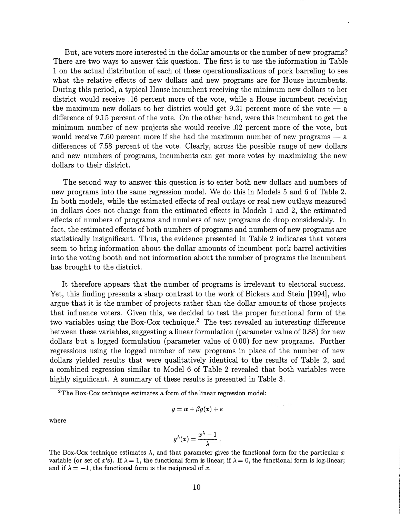But, are voters more interested in the dollar amounts or the number of new programs? There are two ways to answer this question. The first is to use the information in Table 1 on the actual distribution of each of these operationalizations of pork barreling to see what the relative effects of new dollars and new programs are for House incumbents. During this period, a typical House incumbent receiving the minimum new dollars to her district would receive . 16 percent more of the vote, while a House incumbent receiving the maximum new dollars to her district would get 9.31 percent more of the vote  $-$  a difference of 9.15 percent of the vote. On the other hand, were this incumbent to get the minimum number of new projects she would receive .02 percent more of the vote, but would receive 7.60 percent more if she had the maximum number of new programs  $-$  a differences of 7.58 percent of the vote. Clearly, across the possible range of new dollars and new numbers of programs, incumbents can get more votes by maximizing the new dollars to their district.

The second way to answer this question is to enter both new dollars and numbers of new programs into the same regression model. We do this in Models 5 and 6 of Table 2. In both models, while the estimated effects of real outlays or real new outlays measured in dollars does not change from the estimated effects in Models 1 and 2, the estimated effects of numbers of programs and numbers of new programs do drop considerably. In fact, the estimated effects of both numbers of programs and numbers of new programs are statistically insignificant. Thus, the evidence presented in Table 2 indicates that voters seem to bring information about the dollar amounts of incumbent pork barrel activities into the voting booth and not information about the number of programs the incumbent has brought to the district.

It therefore appears that the number of programs is irrelevant to electoral success. Yet, this finding presents a sharp contrast to the work of Bickers and Stein [1994], who argue that it is the number of projects rather than the dollar amounts of those projects that influence voters. Given this, we decided to test the proper functional form of the two variables using the Box-Cox technique.<sup>2</sup> The test revealed an interesting difference between these variables, suggesting a linear formulation (parameter value of 0.88) for new dollars but a logged formulation (parameter value of 0.00) for new programs. Further regressions using the logged number of new programs in place of the number of new dollars yielded results that were qualitatively identical to the results of Table 2, and a combined regression similar to Model 6 of Table 2 revealed that both variables were highly significant. A summary of these results is presented in Table 3.

$$
y = \alpha + \beta g(x) + \varepsilon
$$

and and

where

$$
g^{\lambda}(x) = \frac{x^{\lambda} - 1}{\lambda}.
$$

The Box-Cox technique estimates  $\lambda$ , and that parameter gives the functional form for the particular x variable (or set of x's). If  $\lambda = 1$ , the functional form is linear; if  $\lambda = 0$ , the functional form is log-linear; and if  $\lambda = -1$ , the functional form is the reciprocal of x.

<sup>2</sup>The Box-Cox technique estimates a form of the linear regression model: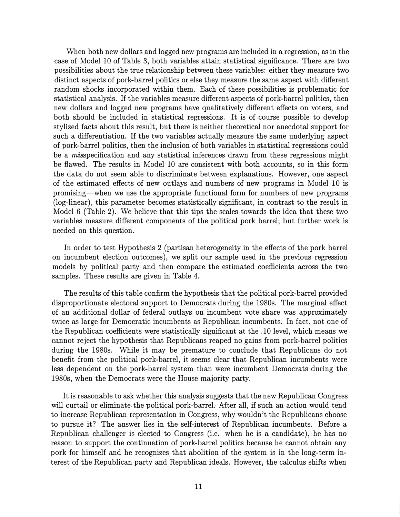When both new dollars and logged new programs are included in a regression, as in the case of Model 10 of Table 3, both variables attain statistical significance. There are two possibilities about the true relationship between these variables: either they measure two distinct aspects of pork-barrel politics or else they measure the same aspect with different random shocks incorporated within them. Each of these possibilities is problematic for statistical analysis. If the variables measure different aspects of pork-barrel politics, then new dollars and logged new programs have qualitatively different effects on voters, and both should be included in statistical regressions. It is of course possible to develop stylized facts about this result, but there is neither theoretical nor anecdotal support for such a differentiation. If the two variables actually measure the same underlying aspect of pork-barrel politics, then the inclusion of both variables in statistical regressions could be a *misselecification* and any statistical inferences drawn from these regressions might be flawed. The results in Model 10 are consistent with both accounts, so in this form the data do not seem able to discriminate between explanations. However, one aspect of the estimated effects of new outlays and numbers of new programs in Model 10 is promising-when we use the appropriate functional form for numbers of new programs (log-linear), this parameter becomes statistically significant, in contrast to the result in Model 6 (Table 2). We believe that this tips the scales towards the idea that these two variables measure different components of the political pork barrel; but further work is needed on this question.

In order to test Hypothesis 2 (partisan heterogeneity in the effects of the pork barrel on incumbent election outcomes), we split our sample used in the previous regression models by political party and then compare the estimated coefficients across the two samples. These results are given in Table 4.

The results of this table confirm the hypothesis that the political pork-barrel provided disproportionate electoral support to Democrats during the 1980s. The marginal effect of an additional dollar of federal outlays on incumbent vote share was approximately twice as large for Democratic incumbents as Republican incumbents. In fact, not one of the Republican coefficients were statistically significant at the . 10 level, which means we cannot reject the hypothesis that Republicans reaped no gains from pork-barrel politics during the 1980s. While it may be premature to conclude that Republicans do not benefit from the political pork-barrel, it seems clear that Republican incumbents were less dependent on the pork-barrel system than were incumbent Democrats during the 1980s, when the Democrats were the House majority party.

It is reasonable to ask whether this analysis suggests that the new Republican Congress will curtail or eliminate the political pork-barrel. After all, if such an action would tend to increase Republican representation in Congress, why wouldn't the Republicans choose to pursue it? The answer lies in the self-interest of Republican incumbents. Before a Republican challenger is elected to Congress (i.e. when he is a candidate), he has no reason to support the continuation of pork-barrel politics because he cannot obtain any pork for himself and he recognizes that abolition of the system is in the long-term interest of the Republican party and Republican ideals. However, the calculus shifts when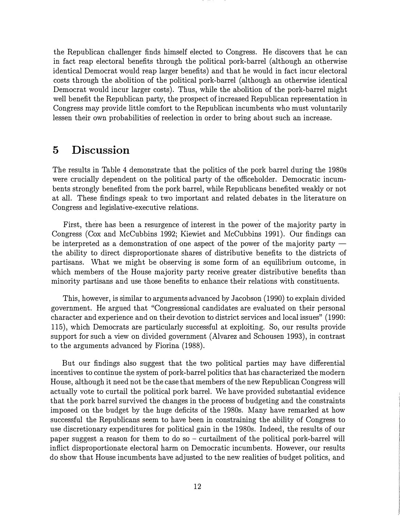the Republican challenger finds himself elected to Congress. He discovers that he can in fact reap electoral benefits through the political pork-barrel (although an otherwise identical Democrat would reap larger benefits) and that he would in fact incur electoral costs through the abolition of the political pork-barrel (although an otherwise identical Democrat would incur larger costs). Thus, while the abolition of the pork-barrel might well benefit the Republican party, the prospect of increased Republican representation in Congress may provide little comfort to the Republican incumbents who must voluntarily lessen their own probabilities of reelection in order to bring about such an increase.

# 5 Discussion

The results in Table 4 demonstrate that the politics of the pork barrel during the 1980s were crucially dependent on the political party of the officeholder. Democratic incumbents strongly benefited from the pork barrel, while Republicans benefited weakly or not at all. These findings speak to two important and related debates in the literature on Congress and legislative-executive relations.

First, there has been a resurgence of interest in the power of the majority party in Congress (Cox and McCubbins 1992; Kiewiet and McCubbins 1991). Our findings can be interpreted as a demonstration of one aspect of the power of the majority party  $$ the ability to direct disproportionate shares of distributive benefits to the districts of partisans. What we might be observing is some form of an equilibrium outcome, in which members of the House majority party receive greater distributive benefits than minority partisans and use those benefits to enhance their relations with constituents.

This, however, is similar to arguments advanced by Jacobson (1990) to explain divided government. He argued that "Congressional candidates are evaluated on their personal character and experience and on their devotion to district services and local issues" (1990: 115), which Democrats are particularly successful at exploiting. So, our results provide support for such a view on divided government (Alvarez and Schousen 1993), in contrast to the arguments advanced by Fiorina (1988).

But our findings also suggest that the two political parties may have differential incentives to continue the system of pork-barrel politics that has characterized the modern House, although it need not be the case that members of the new Republican Congress will actually vote to curtail the political pork barrel. We have provided substantial evidence that the pork barrel survived the changes in the process of budgeting and the constraints imposed on the budget by the huge deficits of the 1980s. Many have remarked at how successful the Republicans seem to have been in constraining the ability of Congress to use discretionary expenditures for political gain in the 1980s. Indeed, the results of our paper suggest a reason for them to do so - curtailment of the political pork-barrel will inflict disproportionate electoral harm on Democratic incumbents. However, our results do show that House incumbents have adjusted to the new realities of budget politics, and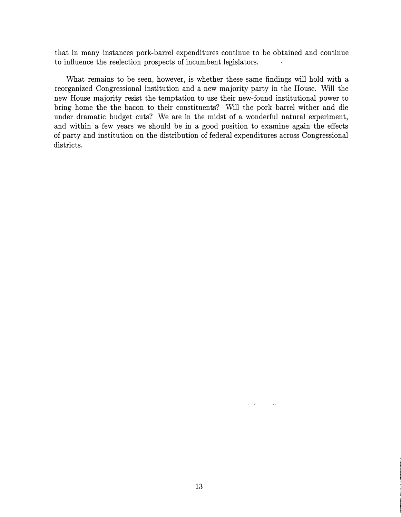that in many instances pork-barrel expenditures continue to be obtained and continue to influence the reelection prospects of incumbent legislators.

What remains to be seen, however, is whether these same findings will hold with a reorganized Congressional institution and a new majority party in the House. Will the new House majority resist the temptation to use their new-found institutional power to bring home the the bacon to their constituents? Will the pork barrel wither and die under dramatic budget cuts? We are in the midst of a wonderful natural experiment, and within a few years we should be in a good position to examine again the effects of party and institution on the distribution of federal expenditures across Congressional districts.

 $\mathcal{L}^{\text{max}}$ 

 $\sim$  10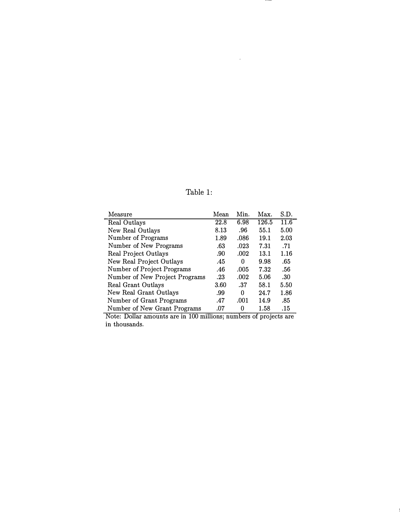| a.ble |  |
|-------|--|
|       |  |

 $\ddot{\phantom{a}}$ 

| Measure                        | Mean | Min. | Max.  | S.D. |
|--------------------------------|------|------|-------|------|
| Real Outlays                   | 22.8 | 6.98 | 126.5 | 11.6 |
| New Real Outlays               | 8.13 | .96  | 55.1  | 5.00 |
| Number of Programs             | 1.89 | .086 | 19.1  | 2.03 |
| Number of New Programs         | .63  | .023 | 7.31  | .71  |
| Real Project Outlays           | .90  | .002 | 13.1  | 1.16 |
| New Real Project Outlays       | .45  | 0    | 9.98  | .65  |
| Number of Project Programs     | .46  | .005 | 7.32  | .56  |
| Number of New Project Programs | .23  | .002 | 5.06  | .30  |
| Real Grant Outlays             | 3.60 | .37  | 58.1  | 5.50 |
| New Real Grant Outlays         | .99  | 0    | 24.7  | 1.86 |
| Number of Grant Programs       | .47  | .001 | 14.9  | .85  |
| Number of New Grant Programs   | .07  | 0    | 1.58  | .15  |

Note: Dollar amounts are in 100 millions; numbers of projects are in thousands.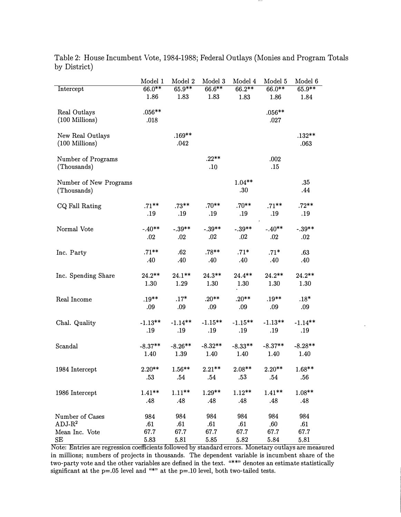|                        | Model 1   | Model 2    | Model 3   | Model 4    | Model 5   | Model 6   |
|------------------------|-----------|------------|-----------|------------|-----------|-----------|
| Intercept              | $66.0**$  | $65.9**$   | $66.6***$ | $66.2**$   | $66.0**$  | $65.9**$  |
|                        | 1.86      | 1.83       | 1.83      | 1.83       | 1.86      | 1.84      |
| Real Outlays           | $.056**$  |            |           |            | $.056**$  |           |
| (100 Millions)         | .018      |            |           |            | .027      |           |
|                        |           |            |           |            |           |           |
| New Real Outlays       |           | $.169**$   |           |            |           | $.132**$  |
| (100 Millions)         |           | .042       |           |            |           | .063      |
|                        |           |            |           |            |           |           |
| Number of Programs     |           |            | $.22***$  |            | .002      |           |
| (Thousands)            |           |            | .10       |            | .15       |           |
|                        |           |            |           |            |           |           |
| Number of New Programs |           |            |           | $1.04**$   |           | .35       |
| (Thousands)            |           |            |           | .30        |           | .44       |
|                        |           |            |           |            |           |           |
| CQ Fall Rating         | $.71***$  | $.73**$    | $.70**$   | $.70**$    | $.71***$  | $.72**$   |
|                        | .19       | .19        | .19       | .19        | .19       | .19       |
| Normal Vote            | $-.40**$  | $-.39**$   | $-.39**$  | $-.39**$   | $-.40**$  | $-.39**$  |
|                        | .02       | .02        | .02       | .02        | .02       | .02       |
|                        |           |            |           |            |           |           |
| Inc. Party             | $.71***$  | .62        | $.78**$   | $.71*$     | $.71*$    | .63       |
|                        | .40       | .40        | .40       | .40        | .40       | .40       |
|                        |           |            |           |            |           |           |
| Inc. Spending Share    | $24.2**$  | $24.1***$  | $24.3**$  | $24.4***$  | $24.2***$ | $24.2***$ |
|                        | 1.30      | 1.29       | 1.30      | 1.30       | 1.30      | 1.30      |
|                        |           |            |           |            |           |           |
| Real Income            | $.19**$   | $.17*$     | $.20**$   | $.20**$    | $.19**$   | $.18*$    |
|                        | .09       | .09        | .09       | .09        | .09       | .09       |
|                        |           |            |           |            |           |           |
| Chal. Quality          | $-1.13**$ | $-1.14***$ | $-1.15**$ | $-1.15***$ | $-1.13**$ | $-1.14**$ |
|                        | .19       | .19        | .19       | .19        | .19       | .19       |
| Scandal                | $-8.37**$ | $-8.26**$  | $-8.32**$ | $-8.33**$  | $-8.37**$ | $-8.28**$ |
|                        | 1.40      | 1.39       | 1.40      | 1.40       | 1.40      | 1.40      |
|                        |           |            |           |            |           |           |
| 1984 Intercept         | $2.20**$  | $1.56**$   | $2.21***$ | $2.08**$   | $2.20**$  | $1.68**$  |
|                        | .53       | .54        | .54       | .53        | .54       | .56       |
|                        |           |            |           |            |           |           |
| 1986 Intercept         | $1.41***$ | $1.11***$  | $1.29**$  | $1.12**$   | $1.41***$ | $1.08**$  |
|                        | .48       | .48        | .48       | .48        | .48       | .48       |
|                        |           |            |           |            |           |           |
| Number of Cases        | 984       | 984        | 984       | 984        | 984       | 984       |
| $ADJ-R2$               | .61       | .61        | .61       | .61        | .60       | .61       |
| Mean Inc. Vote         | 67.7      | 67.7       | 67.7      | 67.7       | 67.7      | 67.7      |
| SE                     | 5.83      | 5.81       | 5.85      | 5.82       | 5.84      | 5.81      |

Table 2: House Incumbent Vote, 1984-1988; Federal Outlays (Monies and Program Totals by District)

Note: Entries are regression coefficients followed by standard errors. Monetary outlays are measured in millions; numbers of projects in thousands. The dependent variable is incumbent share of the two-party vote and the other variables are defined in the text. "\*\*" denotes an estimate statistically significant at the  $p=.05$  level and "\*" at the  $p=.10$  level, both two-tailed tests.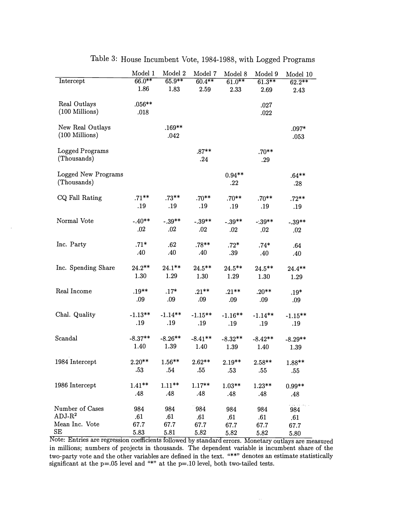|                     | Model 1   | Model 2   | Model 7    | Model 8   | Model 9   | Model 10        |
|---------------------|-----------|-----------|------------|-----------|-----------|-----------------|
| Intercept           | $66.0**$  | $65.9**$  | $60.4***$  | $61.0***$ | $61.3***$ | $62.2***$       |
|                     | 1.86      | 1.83      | 2.59       | 2.33      | 2.69      | 2.43            |
| Real Outlays        | $.056**$  |           |            |           | .027      |                 |
| (100 Millions)      | .018      |           |            |           | .022      |                 |
|                     |           |           |            |           |           |                 |
| New Real Outlays    |           | $.169**$  |            |           |           | $.097*$         |
| (100 Millions)      |           | .042      |            |           |           | .053            |
| Logged Programs     |           |           | $.87**$    |           | $.70**$   |                 |
| (Thousands)         |           |           | .24        |           | .29       |                 |
|                     |           |           |            |           |           |                 |
| Logged New Programs |           |           |            | $0.94**$  |           | $.64**$         |
| (Thousands)         |           |           |            | .22       |           | .28             |
|                     |           |           |            |           |           |                 |
| CQ Fall Rating      | $.71***$  | $.73**$   | $.70**$    | $.70**$   | $.70**$   | $.72**$         |
|                     | .19       | .19       | .19        | .19       | .19       | .19             |
| Normal Vote         | $-.40**$  | $-.39**$  | $-.39**$   | $-.39**$  | $-39**$   |                 |
|                     | .02       | .02       | .02        | .02       | .02       | $-.39**$        |
|                     |           |           |            |           |           | .02             |
| Inc. Party          | $.71*$    | .62       | $.78**$    | $.72*$    | $.74*$    | .64             |
|                     | .40       | .40       | .40        | .39       | .40       | .40             |
|                     |           |           |            |           |           |                 |
| Inc. Spending Share | $24.2**$  | $24.1***$ | $24.5***$  | $24.5***$ | 24.5**    | $24.4**$        |
|                     | 1.30      | 1.29      | 1.30       | 1.29      | 1.30      | 1.29            |
| Real Income         | $.19**$   | $.17*$    | $.21***$   | $.21***$  | $.20**$   | $.19*$          |
|                     | .09       | .09       | .09        | .09       | .09       | .09             |
|                     |           |           |            |           |           |                 |
| Chal. Quality       | $-1.13**$ | $-1.14**$ | $-1.15***$ | $-1.16**$ | $-1.14**$ | $-1.15**$       |
|                     | .19       | .19       | .19        | .19       | .19       | .19             |
| Scandal             | $-8.37**$ | $-8.26**$ | $-8.41**$  | $-8.32**$ | $-8.42**$ | $-8.29**$       |
|                     | 1.40      | 1.39      | 1.40       | 1.39      | 1.40      | 1.39            |
|                     |           |           |            |           |           |                 |
| 1984 Intercept      | $2.20**$  | $1.56**$  | $2.62**$   | $2.19**$  | $2.58**$  | $1.88**$        |
|                     | .53       | .54       | .55        | .53       | .55       | .55             |
|                     |           |           |            |           |           |                 |
| 1986 Intercept      | $1.41**$  | $1.11***$ | $1.17**$   | $1.03**$  | $1.23**$  | $0.99**$        |
|                     | .48       | .48       | .48        | .48       | .48       | .48             |
| Number of Cases     | 984       | 984       | 984        | 984       | 984       | والرقاد فتحاوفه |
| $ADJ-R2$            | .61       | .61       | .61        | .61       | .61       | 984<br>.61      |
| Mean Inc. Vote      | 67.7      | 67.7      | 67.7       | 67.7      | 67.7      | 67.7            |
| SE                  | 5.83      | 5.81      | 5.82       | 5.82      | 5.82      | 5.80            |

Table 3: House Incumbent Vote, 1984-1988, with Logged Programs

Note: Entries are regression coefficients followed by standard errors. Monetary outlays are measured in millions; numbers of projects in thousands. The dependent variable is incumbent share of the two-party vote and the other variables are defined in the text. "\*\*" denotes an estimate statistically significant at the p=.05 level and "\*" at the p=.10 level, both two-tailed tests.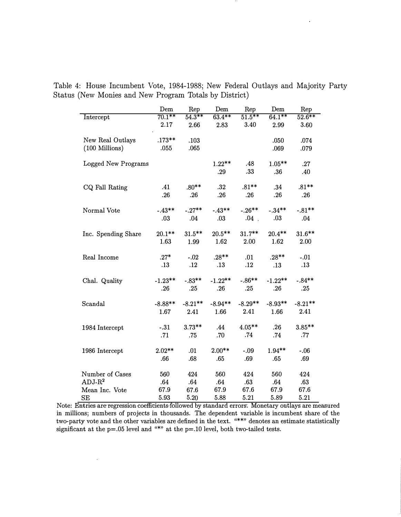|                     | Dem       | Rep       | Dem       | Rep       | Dem        | Rep       |
|---------------------|-----------|-----------|-----------|-----------|------------|-----------|
| Intercept           | $70.1***$ | $54.3***$ | $63.4***$ | $51.5***$ | $64.1***$  | $52.6***$ |
|                     | 2.17      | 2.66      | 2.83      | 3.40      | 2.99       | 3.60      |
|                     |           |           |           |           |            |           |
| New Real Outlays    | $.173**$  | .103      |           |           | .050       | .074      |
| (100 Millions)      | .055      | .065      |           |           | .069       | .079      |
| Logged New Programs |           |           | $1.22**$  | .48       | $1.05**$   | .27       |
|                     |           |           | .29       | .33       | .36        | .40       |
|                     |           |           |           |           |            |           |
| CQ Fall Rating      | .41       | $.80**$   | .32       | $.81**$   | .34        | $.81***$  |
|                     | .26       | .26       | .26       | .26       | .26        | .26       |
| Normal Vote         | $-.43**$  | $-.27**$  | $-.43**$  | $-.26**$  | $-.34**$   | $-.81**$  |
|                     | .03       | .04       | .03       | $.04$ .   | .03        | .04       |
|                     |           |           |           |           |            |           |
| Inc. Spending Share | $20.1**$  | $31.5***$ | $20.5**$  | $31.7***$ | $20.4**$   | $31.6**$  |
|                     | 1.63      | 1.99      | 1.62      | 2.00      | 1.62       | 2.00      |
|                     |           |           |           |           |            |           |
| Real Income         | $.27*$    | $-.02$    | $.28**$   | .01       | $.28**$    | $-.01$    |
|                     | .13       | .12       | .13       | .12       | .13        | .13       |
| Chal. Quality       | $-1.23**$ | $-.83**$  | $-1.22**$ | $-.86**$  | $-1.22***$ | $-.84**$  |
|                     | .26       | .25       | .26       | .25       | .26        | .25       |
|                     |           |           |           |           |            |           |
| Scandal             | $-8.88**$ | $-8.21**$ | $-8.94**$ | $-8.29**$ | $-8.93**$  | $-8.21**$ |
|                     | 1.67      | 2.41      | 1.66      | 2.41      | 1.66       | 2.41      |
|                     |           |           |           |           |            |           |
| 1984 Intercept      | $-.31$    | $3.73**$  | .44       | 4.05**    | .26        | $3.85**$  |
|                     | .71       | .75       | .70       | .74       | .74        | .77       |
| 1986 Intercept      | $2.02**$  | .01       | $2.00**$  | $-.09$    | $1.94**$   | $-0.06$   |
|                     | .66       | .68       | .65       | .69       | .65        | .69       |
|                     |           |           |           |           |            |           |
| Number of Cases     | 560       | 424       | 560       | 424       | 560        | 424       |
| $ADJ-R2$            | .64       | .64       | .64       | .63       | .64        | .63       |
| Mean Inc. Vote      | 67.9      | 67.6      | 67.9      | 67.6      | 67.9       | 67.6      |
| SE                  | 5.93      | 5.20      | 5.88      | 5.21      | 5.89       | 5.21      |

Table 4: House Incumbent Vote, 1984-1988; New Federal Outlays and Majority Party Status (New Monies and New Program Totals by District)

Note: Entries are regression coefficients followed by standard errors. Monetary outlays are measured in millions; numbers of projects in thousands. The dependent variable is incumbent share of the two-party vote and the other variables are defined in the text. "\*\*" denotes an estimate statistically significant at the p=.05 level and "\*" at the p=.10 level, both two-tailed tests.

 $\ddot{\phantom{1}}$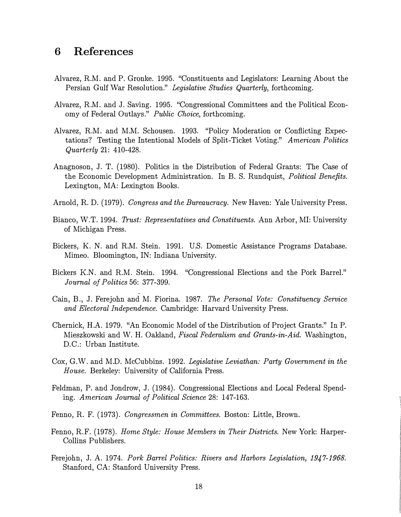## 6 References

- Alvarez, R.M. and P. Gronke. 1995. "Constituents and Legislators: Learning About the Persian Gulf War Resolution." Legislative Studies Quarterly, forthcoming.
- Alvarez, R.M. and J. Saving. 1995. "Congressional Committees and the Political Economy of Federal Outlays." Public Choice, forthcoming.
- Alvarez, R.M. and M.M. Schousen. 1993. "Policy Moderation or Conflicting Expectations? Testing the Intentional Models of Split-Ticket Voting." American Politics Quarterly 21: 410-428.
- Anagnoson, J. T. (1980). Politics in the Distribution of Federal Grants: The Case of the Economic Development Administration. In B. S. Rundquist, Political Benefits. Lexington, MA: Lexington Books.
- Arnold, R. D. (1979). Congress and the Bureaucracy. New Haven: Yale University Press.
- Bianco, W.T. 1994. Trust: Representatives and Constituents. Ann Arbor, MI: University of Michigan Press.
- Bickers, K. N. and R.M. Stein. 1991. U.S. Domestic Assistance Programs Database. Mimeo. Bloomington, IN: Indiana University.
- Bickers K.N. and R.M. Stein. 1994. "Congressional Elections and the Pork Barrel." Journal of Politics 56: 377-399.
- Cain, B., J. Ferejohn and M. Fiorina. 1987. The Personal Vote: Constituency Service and Electoral Independence. Cambridge: Harvard University Press.
- Chernick, H.A. 1979. "An Economic Model of the Distribution of Project Grants." In P. Mieszkowski and W. H. Oakland, Fiscal Federalism and Grants-in-Aid. Washington, D.C.: Urban Institute.
- Cox, G.W. and M.D. McCubbins. 1992. Legislative Leviathan: Party Government in the House. Berkeley: University of California Press.
- Feldman, P. and Jondrow, J. (1984). Congressional Elections and Local Federal Spending. American Journal of Political Science 28: 147-163.
- Fenno, R. F. (1973). Congressmen in Committees. Boston: Little, Brown.
- Fenno, R.F. (1978). *Home Style: House Members in Their Districts*. New York: Harper-Collins Publishers.
- Ferejohn, J. A. 1974. Pork Barrel Politics: Rivers and Harbors Legislation, 1947-1968. Stanford, CA: Stanford University Press.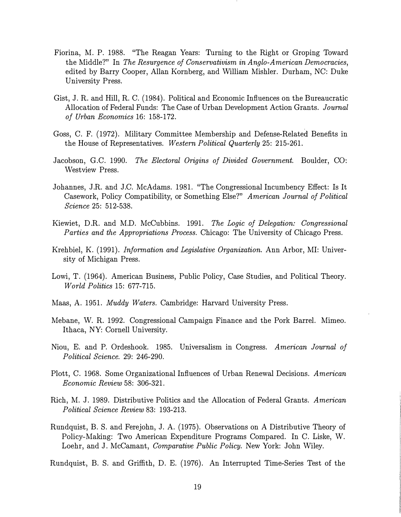- Fiorina, M. P. 1988. "The Reagan Years: Turning to the Right or Groping Toward the Middle?" In The Resurgence of Conservativism in Anglo-American Democracies, edited by Barry Cooper, Allan Kornberg, and William Mishler. Durham, NC: Duke University Press.
- Gist, J. R. and Hill, R. C. (1984). Political and Economic Influences on the Bureaucratic Allocation of Federal Funds: The Case of Urban Development Action Grants. Journal of Urban Economics 16: 158-172.
- Goss, C. F. (1972). Military Committee Membership and Defense-Related Benefits in the House of Representatives. Western Political Quarterly 25: 215-261.
- Jacobson, G.C. 1990. The Electoral Origins of Divided Government. Boulder, CO: Westview Press.
- Johannes, J.R. and J.C. McAdams. 1981. "The Congressional Incumbency Effect: Is It Casework, Policy Compatibility, or Something Else?" American Journal of Political Science 25: 512-538.
- Kiewiet, D.R. and M.D. McCubbins. 1991. The Logic of Delegation: Congressional Parties and the Appropriations Process. Chicago: The University of Chicago Press.
- Krehbiel, K. (1991). Information and Legislative Organization. Ann Arbor, MI: University of Michigan Press.
- Lowi, T. (1964). American Business, Public Policy, Case Studies, and Political Theory. World Politics 15: 677-715.
- Maas, A. 1951. Muddy Waters. Cambridge: Harvard University Press.
- Mebane, W. R. 1992. Congressional Campaign Finance and the Pork Barrel. Mimeo. Ithaca, NY: Cornell University.
- Niou, E. and P. Ordeshook. 1985. Universalism in Congress. American Journal of Political Science. 29: 246-290.
- Plott, C. 1968. Some Organizational Influences of Urban Renewal Decisions. American Economic Review 58: 306-321.
- Rich, M. J. 1989. Distributive Politics and the Allocation of Federal Grants. American Political Science Review 83: 193-213.
- Rundquist, B. S. and Ferejohn, J. A. (1975). Observations on A Distributive Theory of Policy-Making: Two American Expenditure Programs Compared. In C. Liske, W. Loehr, and J. McCamant, Comparative Public Policy. New York: John Wiley.

Rundquist, B. S. and Griffith, D. E. (1976). An Interrupted Time-Series Test of the